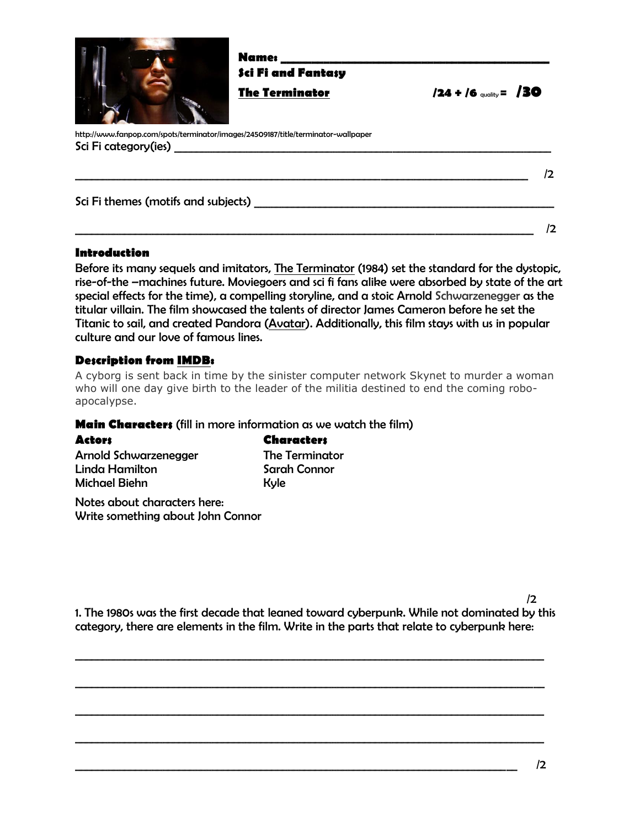

**Name: \_\_\_\_\_\_\_\_\_\_\_\_\_\_\_\_\_\_\_\_\_\_\_\_\_\_\_\_\_\_\_\_\_\_\_\_\_\_\_\_\_\_\_\_ Sci Fi and Fantasy**

**The Terminator /24 + /6** quality**= /30**

http://www.fanpop.com/spots/terminator/images/24509187/title/terminator-wallpaper Sci Fi category(ies) \_\_\_\_\_\_\_\_\_\_\_\_\_\_\_\_\_\_\_\_\_\_\_\_\_\_\_\_\_\_\_\_\_\_\_\_\_\_\_\_\_\_\_\_\_\_\_\_\_\_\_\_\_\_\_\_\_\_\_\_\_\_\_\_\_\_\_\_\_ \_\_\_\_\_\_\_\_\_\_\_\_\_\_\_\_\_\_\_\_\_\_\_\_\_\_\_\_\_\_\_\_\_\_\_\_\_\_\_\_\_\_\_\_\_\_\_\_\_\_\_\_\_\_\_\_\_\_\_\_\_\_\_\_\_\_\_\_\_\_\_\_\_\_\_\_\_\_\_\_\_\_\_ /2 Sci Fi themes (motifs and subjects) \_\_\_\_\_\_\_\_\_\_\_\_\_\_\_\_\_\_\_\_\_\_\_\_\_\_\_\_\_\_\_\_\_\_\_\_\_\_\_\_\_\_\_\_\_\_\_\_\_\_\_\_\_\_\_

# **Introduction**

Before its many sequels and imitators, The Terminator (1984) set the standard for the dystopic, rise-of-the –machines future. Moviegoers and sci fi fans alike were absorbed by state of the art special effects for the time), a compelling storyline, and a stoic Arnold Schwarzenegger as the titular villain. The film showcased the talents of director James Cameron before he set the Titanic to sail, and created Pandora (Avatar). Additionally, this film stays with us in popular culture and our love of famous lines.

 $\overline{\phantom{a}}$  /2

# **Description from IMDB:**

A cyborg is sent back in time by the sinister computer network Skynet to murder a woman who will one day give birth to the leader of the militia destined to end the coming roboapocalypse.

### **Main Characters** (fill in more information as we watch the film)

| <b>Actors</b>         | <b>Characters</b>     |
|-----------------------|-----------------------|
| Arnold Schwarzenegger | <b>The Terminator</b> |
| Linda Hamilton        | Sarah Connor          |
| Michael Biehn         | Kyle                  |
|                       |                       |

Notes about characters here: Write something about John Connor

1. The 1980s was the first decade that leaned toward cyberpunk. While not dominated by this category, there are elements in the film. Write in the parts that relate to cyberpunk here:

 $\_$  ,  $\_$  ,  $\_$  ,  $\_$  ,  $\_$  ,  $\_$  ,  $\_$  ,  $\_$  ,  $\_$  ,  $\_$  ,  $\_$  ,  $\_$  ,  $\_$  ,  $\_$  ,  $\_$  ,  $\_$  ,  $\_$  ,  $\_$  ,  $\_$  ,  $\_$  ,  $\_$  ,  $\_$  ,  $\_$  ,  $\_$  ,  $\_$  ,  $\_$  ,  $\_$  ,  $\_$  ,  $\_$  ,  $\_$  ,  $\_$  ,  $\_$  ,  $\_$  ,  $\_$  ,  $\_$  ,  $\_$  ,  $\_$  ,

 $\_$  ,  $\_$  ,  $\_$  ,  $\_$  ,  $\_$  ,  $\_$  ,  $\_$  ,  $\_$  ,  $\_$  ,  $\_$  ,  $\_$  ,  $\_$  ,  $\_$  ,  $\_$  ,  $\_$  ,  $\_$  ,  $\_$  ,  $\_$  ,  $\_$  ,  $\_$  ,  $\_$  ,  $\_$  ,  $\_$  ,  $\_$  ,  $\_$  ,  $\_$  ,  $\_$  ,  $\_$  ,  $\_$  ,  $\_$  ,  $\_$  ,  $\_$  ,  $\_$  ,  $\_$  ,  $\_$  ,  $\_$  ,  $\_$  ,

 $\_$  ,  $\_$  ,  $\_$  ,  $\_$  ,  $\_$  ,  $\_$  ,  $\_$  ,  $\_$  ,  $\_$  ,  $\_$  ,  $\_$  ,  $\_$  ,  $\_$  ,  $\_$  ,  $\_$  ,  $\_$  ,  $\_$  ,  $\_$  ,  $\_$  ,  $\_$  ,  $\_$  ,  $\_$  ,  $\_$  ,  $\_$  ,  $\_$  ,  $\_$  ,  $\_$  ,  $\_$  ,  $\_$  ,  $\_$  ,  $\_$  ,  $\_$  ,  $\_$  ,  $\_$  ,  $\_$  ,  $\_$  ,  $\_$  ,

 $\_$  ,  $\_$  ,  $\_$  ,  $\_$  ,  $\_$  ,  $\_$  ,  $\_$  ,  $\_$  ,  $\_$  ,  $\_$  ,  $\_$  ,  $\_$  ,  $\_$  ,  $\_$  ,  $\_$  ,  $\_$  ,  $\_$  ,  $\_$  ,  $\_$  ,  $\_$  ,  $\_$  ,  $\_$  ,  $\_$  ,  $\_$  ,  $\_$  ,  $\_$  ,  $\_$  ,  $\_$  ,  $\_$  ,  $\_$  ,  $\_$  ,  $\_$  ,  $\_$  ,  $\_$  ,  $\_$  ,  $\_$  ,  $\_$  ,

 $\frac{1}{2}$ 

/2